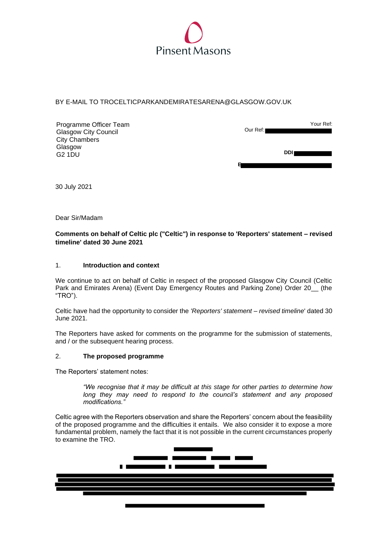

# BY E-MAIL TO TROCELTICPARKANDEMIRATESARENA@GLASGOW.GOV.UK

| Programme Officer Team<br><b>Glasgow City Council</b> | Our Ref: | Your Ref:  |
|-------------------------------------------------------|----------|------------|
| <b>City Chambers</b>                                  |          |            |
| Glasgow                                               |          |            |
| <b>G2 1DU</b>                                         |          | <b>DDI</b> |
|                                                       |          |            |

30 July 2021

Dear Sir/Madam

# **Comments on behalf of Celtic plc ("Celtic") in response to 'Reporters' statement – revised timeline' dated 30 June 2021**

### 1. **Introduction and context**

We continue to act on behalf of Celtic in respect of the proposed Glasgow City Council (Celtic Park and Emirates Arena) (Event Day Emergency Routes and Parking Zone) Order 20\_ (the "TRO").

Celtic have had the opportunity to consider the *'Reporters' statement – revised timeline*' dated 30 June 2021.

The Reporters have asked for comments on the programme for the submission of statements, and / or the subsequent hearing process.

### 2. **The proposed programme**

The Reporters' statement notes:

*"We recognise that it may be difficult at this stage for other parties to determine how long they may need to respond to the council's statement and any proposed modifications."* 

Celtic agree with the Reporters observation and share the Reporters' concern about the feasibility of the proposed programme and the difficulties it entails. We also consider it to expose a more fundamental problem, namely the fact that it is not possible in the current circumstances properly to examine the TRO.

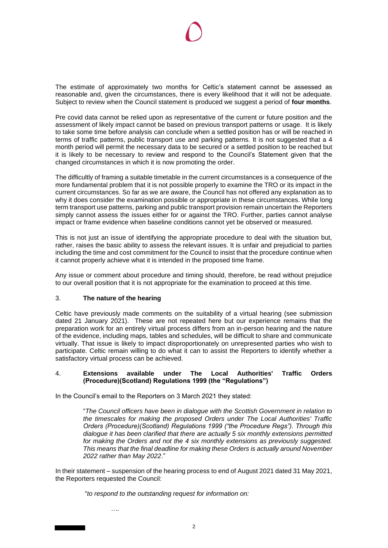The estimate of approximately two months for Celtic's statement cannot be assessed as reasonable and, given the circumstances, there is every likelihood that it will not be adequate. Subject to review when the Council statement is produced we suggest a period of **four months**.

Pre covid data cannot be relied upon as representative of the current or future position and the assessment of likely impact cannot be based on previous transport patterns or usage. It is likely to take some time before analysis can conclude when a settled position has or will be reached in terms of traffic patterns, public transport use and parking patterns. It is not suggested that a 4 month period will permit the necessary data to be secured or a settled position to be reached but it is likely to be necessary to review and respond to the Council's Statement given that the changed circumstances in which it is now promoting the order.

The difficultly of framing a suitable timetable in the current circumstances is a consequence of the more fundamental problem that it is not possible properly to examine the TRO or its impact in the current circumstances. So far as we are aware, the Council has not offered any explanation as to why it does consider the examination possible or appropriate in these circumstances. While long term transport use patterns, parking and public transport provision remain uncertain the Reporters simply cannot assess the issues either for or against the TRO. Further, parties cannot analyse impact or frame evidence when baseline conditions cannot yet be observed or measured.

This is not just an issue of identifying the appropriate procedure to deal with the situation but, rather, raises the basic ability to assess the relevant issues. It is unfair and prejudicial to parties including the time and cost commitment for the Council to insist that the procedure continue when it cannot properly achieve what it is intended in the proposed time frame.

Any issue or comment about procedure and timing should, therefore, be read without prejudice to our overall position that it is not appropriate for the examination to proceed at this time.

# 3. **The nature of the hearing**

Celtic have previously made comments on the suitability of a virtual hearing (see submission dated 21 January 2021). These are not repeated here but our experience remains that the preparation work for an entirely virtual process differs from an in-person hearing and the nature of the evidence, including maps, tables and schedules, will be difficult to share and communicate virtually. That issue is likely to impact disproportionately on unrepresented parties who wish to participate. Celtic remain willing to do what it can to assist the Reporters to identify whether a satisfactory virtual process can be achieved.

### 4. **Extensions available under The Local Authorities' Traffic Orders (Procedure)(Scotland) Regulations 1999 (the "Regulations")**

In the Council's email to the Reporters on 3 March 2021 they stated:

"*The Council officers have been in dialogue with the Scottish Government in relation to the timescales for making the proposed Orders under The Local Authorities' Traffic Orders (Procedure)(Scotland) Regulations 1999 ("the Procedure Regs"). Through this dialogue it has been clarified that there are actually 5 six monthly extensions permitted for making the Orders and not the 4 six monthly extensions as previously suggested. This means that the final deadline for making these Orders is actually around November 2022 rather than May 2022*."

In their statement – suspension of the hearing process to end of August 2021 dated 31 May 2021, the Reporters requested the Council:

"*to respond to the outstanding request for information on:* 

*….*